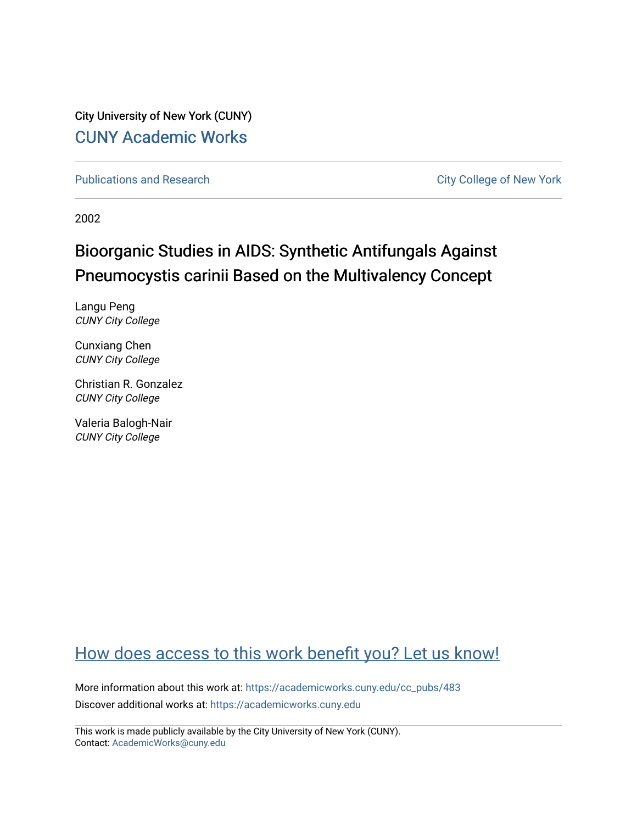City University of New York (CUNY) [CUNY Academic Works](https://academicworks.cuny.edu/) 

[Publications and Research](https://academicworks.cuny.edu/cc_pubs) **City College of New York** Publications and Research

2002

# Bioorganic Studies in AIDS: Synthetic Antifungals Against Pneumocystis carinii Based on the Multivalency Concept

Langu Peng CUNY City College

Cunxiang Chen CUNY City College

Christian R. Gonzalez CUNY City College

Valeria Balogh-Nair CUNY City College

## [How does access to this work benefit you? Let us know!](http://ols.cuny.edu/academicworks/?ref=https://academicworks.cuny.edu/cc_pubs/483)

More information about this work at: [https://academicworks.cuny.edu/cc\\_pubs/483](https://academicworks.cuny.edu/cc_pubs/483)  Discover additional works at: [https://academicworks.cuny.edu](https://academicworks.cuny.edu/?)

This work is made publicly available by the City University of New York (CUNY). Contact: [AcademicWorks@cuny.edu](mailto:AcademicWorks@cuny.edu)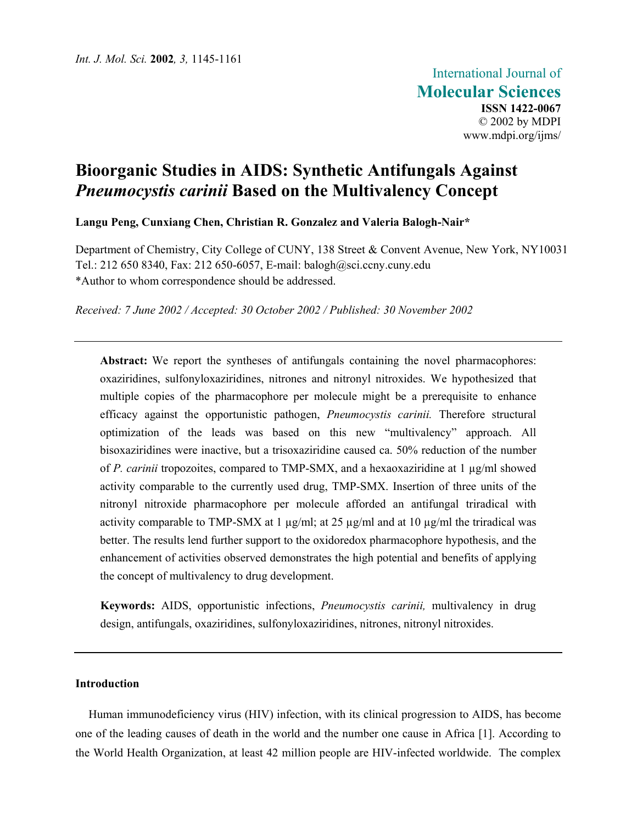## **Bioorganic Studies in AIDS: Synthetic Antifungals Against**  *Pneumocystis carinii* **Based on the Multivalency Concept**

**Langu Peng, Cunxiang Chen, Christian R. Gonzalez and Valeria Balogh-Nair\*** 

Department of Chemistry, City College of CUNY, 138 Street & Convent Avenue, New York, NY10031 Tel.: 212 650 8340, Fax: 212 650-6057, E-mail: balogh@sci.ccny.cuny.edu \*Author to whom correspondence should be addressed.

*Received: 7 June 2002 / Accepted: 30 October 2002 / Published: 30 November 2002*

Abstract: We report the syntheses of antifungals containing the novel pharmacophores: oxaziridines, sulfonyloxaziridines, nitrones and nitronyl nitroxides. We hypothesized that multiple copies of the pharmacophore per molecule might be a prerequisite to enhance efficacy against the opportunistic pathogen, *Pneumocystis carinii.* Therefore structural optimization of the leads was based on this new "multivalency" approach. All bisoxaziridines were inactive, but a trisoxaziridine caused ca. 50% reduction of the number of *P. carinii* tropozoites, compared to TMP-SMX, and a hexaoxaziridine at 1 µg/ml showed activity comparable to the currently used drug, TMP-SMX. Insertion of three units of the nitronyl nitroxide pharmacophore per molecule afforded an antifungal triradical with activity comparable to TMP-SMX at 1  $\mu$ g/ml; at 25  $\mu$ g/ml and at 10  $\mu$ g/ml the triradical was better. The results lend further support to the oxidoredox pharmacophore hypothesis, and the enhancement of activities observed demonstrates the high potential and benefits of applying the concept of multivalency to drug development.

**Keywords:** AIDS, opportunistic infections, *Pneumocystis carinii,* multivalency in drug design, antifungals, oxaziridines, sulfonyloxaziridines, nitrones, nitronyl nitroxides.

#### **Introduction**

Human immunodeficiency virus (HIV) infection, with its clinical progression to AIDS, has become one of the leading causes of death in the world and the number one cause in Africa [1]. According to the World Health Organization, at least 42 million people are HIV-infected worldwide. The complex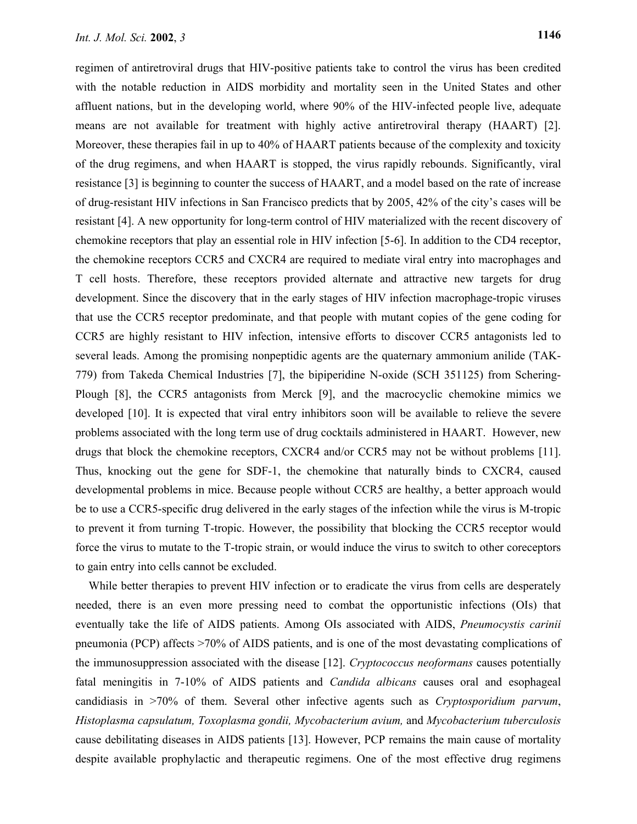regimen of antiretroviral drugs that HIV-positive patients take to control the virus has been credited with the notable reduction in AIDS morbidity and mortality seen in the United States and other affluent nations, but in the developing world, where 90% of the HIV-infected people live, adequate means are not available for treatment with highly active antiretroviral therapy (HAART) [2]. Moreover, these therapies fail in up to 40% of HAART patients because of the complexity and toxicity of the drug regimens, and when HAART is stopped, the virus rapidly rebounds. Significantly, viral resistance [3] is beginning to counter the success of HAART, and a model based on the rate of increase of drug-resistant HIV infections in San Francisco predicts that by 2005, 42% of the city's cases will be resistant [4]. A new opportunity for long-term control of HIV materialized with the recent discovery of chemokine receptors that play an essential role in HIV infection [5-6]. In addition to the CD4 receptor, the chemokine receptors CCR5 and CXCR4 are required to mediate viral entry into macrophages and T cell hosts. Therefore, these receptors provided alternate and attractive new targets for drug development. Since the discovery that in the early stages of HIV infection macrophage-tropic viruses that use the CCR5 receptor predominate, and that people with mutant copies of the gene coding for CCR5 are highly resistant to HIV infection, intensive efforts to discover CCR5 antagonists led to several leads. Among the promising nonpeptidic agents are the quaternary ammonium anilide (TAK-779) from Takeda Chemical Industries [7], the bipiperidine N-oxide (SCH 351125) from Schering-Plough [8], the CCR5 antagonists from Merck [9], and the macrocyclic chemokine mimics we developed [10]. It is expected that viral entry inhibitors soon will be available to relieve the severe problems associated with the long term use of drug cocktails administered in HAART. However, new drugs that block the chemokine receptors, CXCR4 and/or CCR5 may not be without problems [11]. Thus, knocking out the gene for SDF-1, the chemokine that naturally binds to CXCR4, caused developmental problems in mice. Because people without CCR5 are healthy, a better approach would be to use a CCR5-specific drug delivered in the early stages of the infection while the virus is M-tropic to prevent it from turning T-tropic. However, the possibility that blocking the CCR5 receptor would force the virus to mutate to the T-tropic strain, or would induce the virus to switch to other coreceptors to gain entry into cells cannot be excluded.

While better therapies to prevent HIV infection or to eradicate the virus from cells are desperately needed, there is an even more pressing need to combat the opportunistic infections (OIs) that eventually take the life of AIDS patients. Among OIs associated with AIDS, *Pneumocystis carinii*  pneumonia (PCP) affects >70% of AIDS patients, and is one of the most devastating complications of the immunosuppression associated with the disease [12]. *Cryptococcus neoformans* causes potentially fatal meningitis in 7-10% of AIDS patients and *Candida albicans* causes oral and esophageal candidiasis in >70% of them. Several other infective agents such as *Cryptosporidium parvum*, *Histoplasma capsulatum, Toxoplasma gondii, Mycobacterium avium,* and *Mycobacterium tuberculosis* cause debilitating diseases in AIDS patients [13]. However, PCP remains the main cause of mortality despite available prophylactic and therapeutic regimens. One of the most effective drug regimens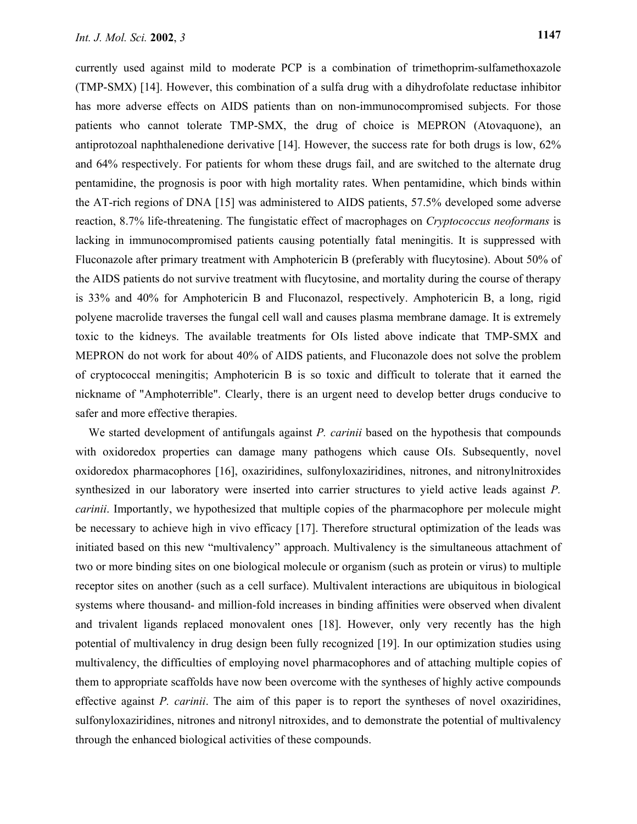currently used against mild to moderate PCP is a combination of trimethoprim-sulfamethoxazole (TMP-SMX) [14]. However, this combination of a sulfa drug with a dihydrofolate reductase inhibitor has more adverse effects on AIDS patients than on non-immunocompromised subjects. For those patients who cannot tolerate TMP-SMX, the drug of choice is MEPRON (Atovaquone), an antiprotozoal naphthalenedione derivative [14]. However, the success rate for both drugs is low, 62% and 64% respectively. For patients for whom these drugs fail, and are switched to the alternate drug pentamidine, the prognosis is poor with high mortality rates. When pentamidine, which binds within the AT-rich regions of DNA [15] was administered to AIDS patients, 57.5% developed some adverse reaction, 8.7% life-threatening. The fungistatic effect of macrophages on *Cryptococcus neoformans* is lacking in immunocompromised patients causing potentially fatal meningitis. It is suppressed with Fluconazole after primary treatment with Amphotericin B (preferably with flucytosine). About 50% of the AIDS patients do not survive treatment with flucytosine, and mortality during the course of therapy is 33% and 40% for Amphotericin B and Fluconazol, respectively. Amphotericin B, a long, rigid polyene macrolide traverses the fungal cell wall and causes plasma membrane damage. It is extremely toxic to the kidneys. The available treatments for OIs listed above indicate that TMP-SMX and MEPRON do not work for about 40% of AIDS patients, and Fluconazole does not solve the problem of cryptococcal meningitis; Amphotericin B is so toxic and difficult to tolerate that it earned the nickname of "Amphoterrible". Clearly, there is an urgent need to develop better drugs conducive to safer and more effective therapies.

We started development of antifungals against *P. carinii* based on the hypothesis that compounds with oxidoredox properties can damage many pathogens which cause OIs. Subsequently, novel oxidoredox pharmacophores [16], oxaziridines, sulfonyloxaziridines, nitrones, and nitronylnitroxides synthesized in our laboratory were inserted into carrier structures to yield active leads against *P. carinii*. Importantly, we hypothesized that multiple copies of the pharmacophore per molecule might be necessary to achieve high in vivo efficacy [17]. Therefore structural optimization of the leads was initiated based on this new "multivalency" approach. Multivalency is the simultaneous attachment of two or more binding sites on one biological molecule or organism (such as protein or virus) to multiple receptor sites on another (such as a cell surface). Multivalent interactions are ubiquitous in biological systems where thousand- and million-fold increases in binding affinities were observed when divalent and trivalent ligands replaced monovalent ones [18]. However, only very recently has the high potential of multivalency in drug design been fully recognized [19]. In our optimization studies using multivalency, the difficulties of employing novel pharmacophores and of attaching multiple copies of them to appropriate scaffolds have now been overcome with the syntheses of highly active compounds effective against *P. carinii*. The aim of this paper is to report the syntheses of novel oxaziridines, sulfonyloxaziridines, nitrones and nitronyl nitroxides, and to demonstrate the potential of multivalency through the enhanced biological activities of these compounds.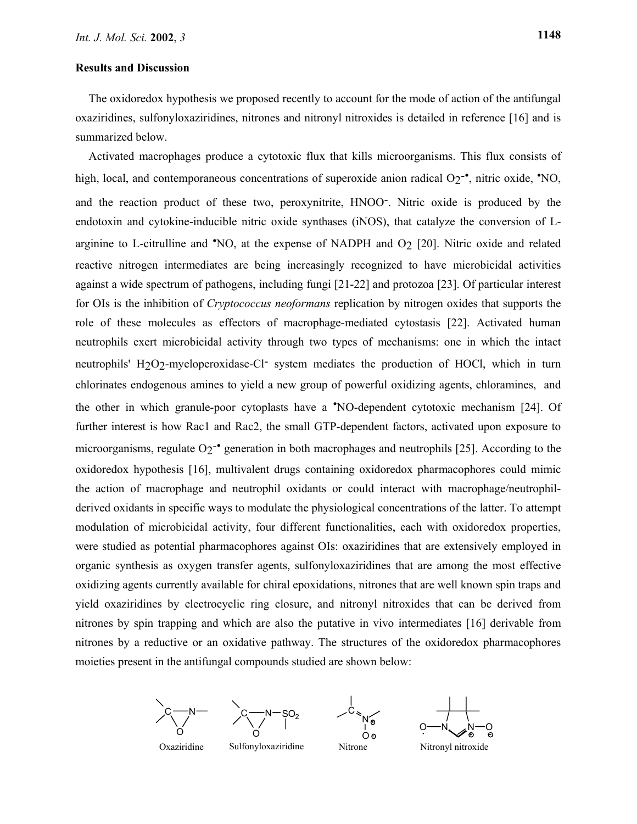#### **Results and Discussion**

The oxidoredox hypothesis we proposed recently to account for the mode of action of the antifungal oxaziridines, sulfonyloxaziridines, nitrones and nitronyl nitroxides is detailed in reference [16] and is summarized below.

Activated macrophages produce a cytotoxic flux that kills microorganisms. This flux consists of high, local, and contemporaneous concentrations of superoxide anion radical O<sub>2</sub><sup>-•</sup>, nitric oxide, <sup>•</sup>NO, and the reaction product of these two, peroxynitrite, HNOO-. Nitric oxide is produced by the endotoxin and cytokine-inducible nitric oxide synthases (iNOS), that catalyze the conversion of Larginine to L-citrulline and 'NO, at the expense of NADPH and O<sub>2</sub> [20]. Nitric oxide and related reactive nitrogen intermediates are being increasingly recognized to have microbicidal activities against a wide spectrum of pathogens, including fungi [21-22] and protozoa [23]. Of particular interest for OIs is the inhibition of *Cryptococcus neoformans* replication by nitrogen oxides that supports the role of these molecules as effectors of macrophage-mediated cytostasis [22]. Activated human neutrophils exert microbicidal activity through two types of mechanisms: one in which the intact neutrophils' H2O2-myeloperoxidase-Cl- system mediates the production of HOCl, which in turn chlorinates endogenous amines to yield a new group of powerful oxidizing agents, chloramines, and the other in which granule-poor cytoplasts have a •NO-dependent cytotoxic mechanism [24]. Of further interest is how Rac1 and Rac2, the small GTP-dependent factors, activated upon exposure to microorganisms, regulate O<sub>2</sub><sup>-•</sup> generation in both macrophages and neutrophils [25]. According to the oxidoredox hypothesis [16], multivalent drugs containing oxidoredox pharmacophores could mimic the action of macrophage and neutrophil oxidants or could interact with macrophage/neutrophilderived oxidants in specific ways to modulate the physiological concentrations of the latter. To attempt modulation of microbicidal activity, four different functionalities, each with oxidoredox properties, were studied as potential pharmacophores against OIs: oxaziridines that are extensively employed in organic synthesis as oxygen transfer agents, sulfonyloxaziridines that are among the most effective oxidizing agents currently available for chiral epoxidations, nitrones that are well known spin traps and yield oxaziridines by electrocyclic ring closure, and nitronyl nitroxides that can be derived from nitrones by spin trapping and which are also the putative in vivo intermediates [16] derivable from nitrones by a reductive or an oxidative pathway. The structures of the oxidoredox pharmacophores moieties present in the antifungal compounds studied are shown below:



$$
\bigvee_{\bigcirc}^{N-SO_2}
$$

$$
\begin{array}{c}\n\diagup c \\
\searrow \\
\searrow \\
\searrow \\
\searrow \\
\circ \\
\circ \\
\circ\n\end{array}
$$

$$
\begin{array}{c}\n\begin{array}{c}\n\downarrow \\
\hline\n\end{array} \\
\hline\n0\n\end{array}
$$

Oxaziridine Sulfonyloxaziridine Nitrone Nitronyl nitroxide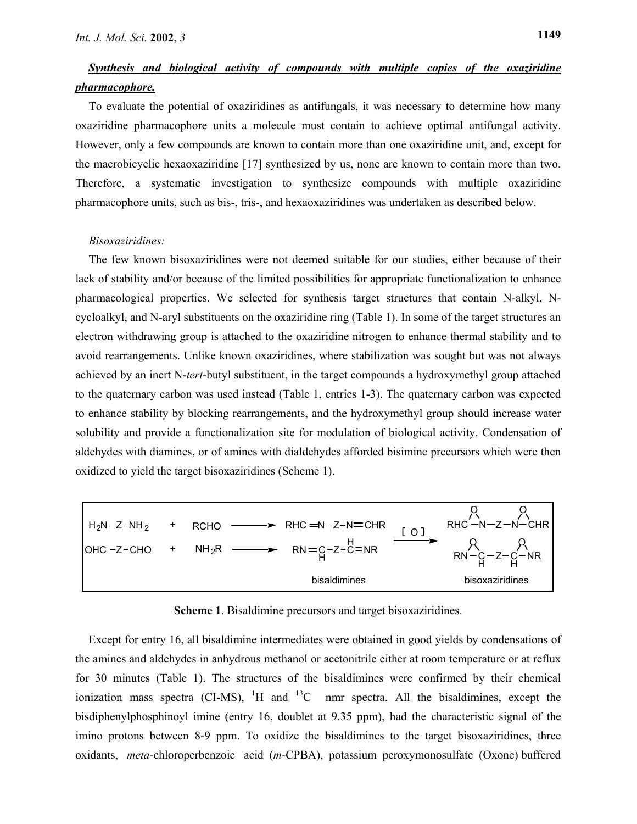### *Synthesis and biological activity of compounds with multiple copies of the oxaziridine pharmacophore.*

To evaluate the potential of oxaziridines as antifungals, it was necessary to determine how many oxaziridine pharmacophore units a molecule must contain to achieve optimal antifungal activity. However, only a few compounds are known to contain more than one oxaziridine unit, and, except for the macrobicyclic hexaoxaziridine [17] synthesized by us, none are known to contain more than two. Therefore, a systematic investigation to synthesize compounds with multiple oxaziridine pharmacophore units, such as bis-, tris-, and hexaoxaziridines was undertaken as described below.

#### *Bisoxaziridines:*

The few known bisoxaziridines were not deemed suitable for our studies, either because of their lack of stability and/or because of the limited possibilities for appropriate functionalization to enhance pharmacological properties. We selected for synthesis target structures that contain N-alkyl, Ncycloalkyl, and N-aryl substituents on the oxaziridine ring (Table 1). In some of the target structures an electron withdrawing group is attached to the oxaziridine nitrogen to enhance thermal stability and to avoid rearrangements. Unlike known oxaziridines, where stabilization was sought but was not always achieved by an inert N-*tert*-butyl substituent, in the target compounds a hydroxymethyl group attached to the quaternary carbon was used instead (Table 1, entries 1-3). The quaternary carbon was expected to enhance stability by blocking rearrangements, and the hydroxymethyl group should increase water solubility and provide a functionalization site for modulation of biological activity. Condensation of aldehydes with diamines, or of amines with dialdehydes afforded bisimine precursors which were then oxidized to yield the target bisoxaziridines (Scheme 1).



**Scheme 1**. Bisaldimine precursors and target bisoxaziridines.

Except for entry 16, all bisaldimine intermediates were obtained in good yields by condensations of the amines and aldehydes in anhydrous methanol or acetonitrile either at room temperature or at reflux for 30 minutes (Table 1). The structures of the bisaldimines were confirmed by their chemical ionization mass spectra (CI-MS),  $^1$ H and  $^{13}$ C nmr spectra. All the bisaldimines, except the bisdiphenylphosphinoyl imine (entry 16, doublet at 9.35 ppm), had the characteristic signal of the imino protons between 8-9 ppm. To oxidize the bisaldimines to the target bisoxaziridines, three oxidants, *meta*-chloroperbenzoic acid (*m*-CPBA), potassium peroxymonosulfate (Oxone) buffered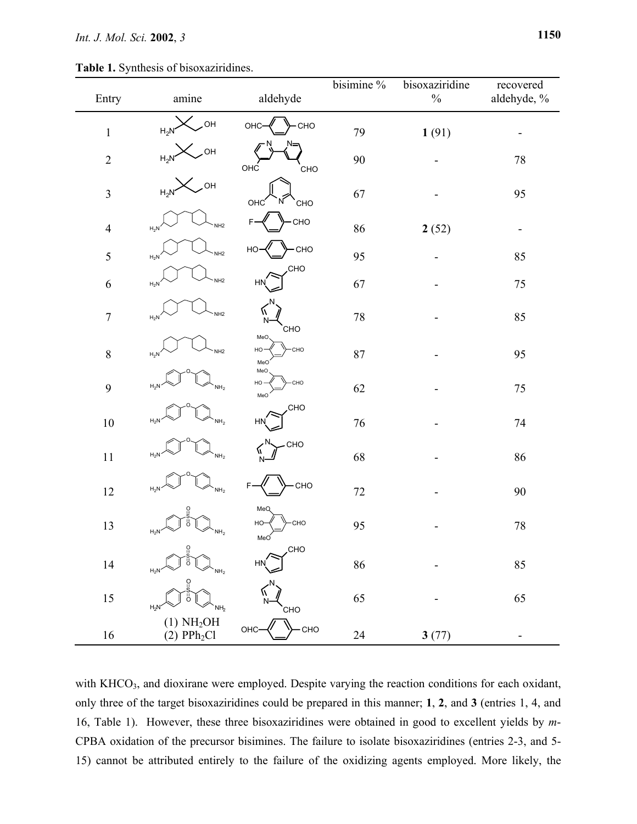| Entry            | amine                                            | aldehyde                       | bisimine % | bisoxaziridine<br>$\%$ | recovered<br>aldehyde, %     |
|------------------|--------------------------------------------------|--------------------------------|------------|------------------------|------------------------------|
| $\mathbf{1}$     | OH<br>$H_2N$                                     | CHO<br>OHC                     | 79         | 1(91)                  | -                            |
| $\sqrt{2}$       | <b>OH</b><br>$H_2N$                              | OHC<br>CHO                     | 90         |                        | $78\,$                       |
| $\mathfrak{Z}$   | ,OH<br>$H_2N$                                    | OHC <sup>1</sup><br>CHO        | 67         |                        | 95                           |
| $\overline{4}$   | NH <sub>2</sub><br>$H_2N$                        | CHO<br>F                       | 86         | 2(52)                  | $\qquad \qquad \blacksquare$ |
| 5                | NH <sub>2</sub><br>$H_2N$                        | -CHO<br>НO                     | 95         |                        | 85                           |
| $\sqrt{6}$       | NH <sub>2</sub><br>$H_2N$                        | CHO.<br><b>HN</b>              | 67         |                        | $75\,$                       |
| $\boldsymbol{7}$ | NH <sub>2</sub><br>$H_2N$                        | W<br>N<br>CHO                  | $78\,$     |                        | 85                           |
| $\,8\,$          | NH <sub>2</sub><br>$H_2N$                        | MeO<br><b>CHO</b><br>HO<br>MeO | 87         |                        | 95                           |
| 9                | $H_2N$<br>NH <sub>2</sub>                        | MeO<br>HO-<br>CHO<br>MeO       | 62         |                        | $75\,$                       |
| $10\,$           | $H_2N$<br>NH <sub>2</sub>                        | <b>CHO</b><br><b>HN</b>        | 76         |                        | $74\,$                       |
| $11\,$           | $H_2N$<br>NH <sub>2</sub>                        | CHO<br>W,<br>N                 | 68         |                        | 86                           |
| $12\,$           | $H_2N$<br>NH <sub>2</sub>                        | CHO<br>F                       | $72\,$     |                        | 90                           |
| 13               | ဂူ<br>ö<br>$H_2N$<br>NH <sub>2</sub>             | MeQ<br>CHO<br>HO-<br>MeO       | 95         |                        | $78\,$                       |
| $14\,$           | ဂူ<br>ő<br>NH <sub>2</sub><br>$H_2N$             | CHO<br><b>HN</b>               | 86         |                        | 85                           |
| $15\,$           | $\overline{C}$<br>ő<br>$H_2N$<br>NH <sub>2</sub> | N<br>CHO                       | 65         |                        | 65                           |
| $16\,$           | (1) NH <sub>2</sub> OH<br>$(2)$ PP $h_2Cl$       | OHC-<br>-CHO                   | 24         | 3(77)                  |                              |

with KHCO<sub>3</sub>, and dioxirane were employed. Despite varying the reaction conditions for each oxidant, only three of the target bisoxaziridines could be prepared in this manner; **1**, **2**, and **3** (entries 1, 4, and 16, Table 1). However, these three bisoxaziridines were obtained in good to excellent yields by *m*-CPBA oxidation of the precursor bisimines. The failure to isolate bisoxaziridines (entries 2-3, and 5- 15) cannot be attributed entirely to the failure of the oxidizing agents employed. More likely, the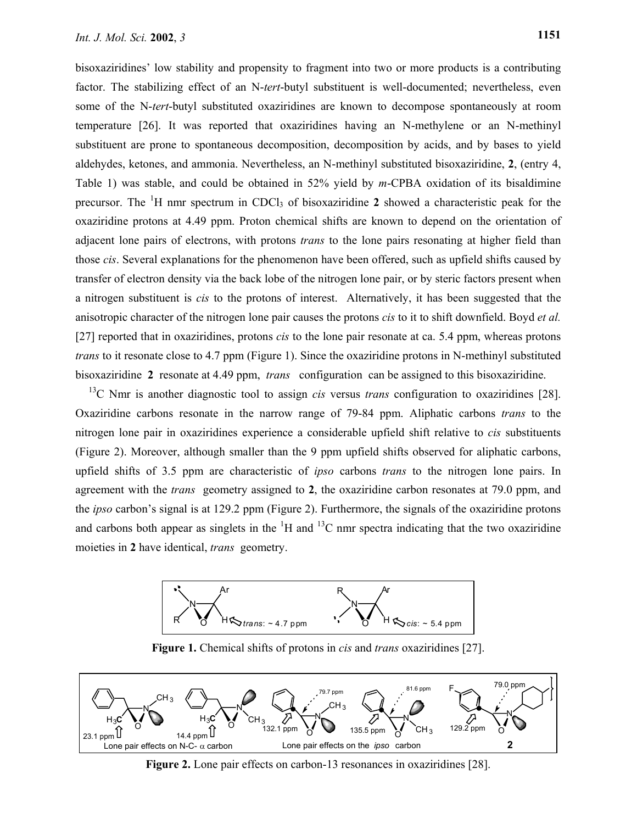bisoxaziridines' low stability and propensity to fragment into two or more products is a contributing factor. The stabilizing effect of an N-*tert*-butyl substituent is well-documented; nevertheless, even some of the N-*tert*-butyl substituted oxaziridines are known to decompose spontaneously at room temperature [26]. It was reported that oxaziridines having an N-methylene or an N-methinyl substituent are prone to spontaneous decomposition, decomposition by acids, and by bases to yield aldehydes, ketones, and ammonia. Nevertheless, an N-methinyl substituted bisoxaziridine, **2**, (entry 4, Table 1) was stable, and could be obtained in 52% yield by *m*-CPBA oxidation of its bisaldimine precursor. The <sup>1</sup>H nmr spectrum in CDCl<sub>3</sub> of bisoxaziridine 2 showed a characteristic peak for the oxaziridine protons at 4.49 ppm. Proton chemical shifts are known to depend on the orientation of adjacent lone pairs of electrons, with protons *trans* to the lone pairs resonating at higher field than those *cis*. Several explanations for the phenomenon have been offered, such as upfield shifts caused by transfer of electron density via the back lobe of the nitrogen lone pair, or by steric factors present when a nitrogen substituent is *cis* to the protons of interest. Alternatively, it has been suggested that the anisotropic character of the nitrogen lone pair causes the protons *cis* to it to shift downfield. Boyd *et al.* [27] reported that in oxaziridines, protons *cis* to the lone pair resonate at ca. 5.4 ppm, whereas protons *trans* to it resonate close to 4.7 ppm (Figure 1). Since the oxaziridine protons in N-methinyl substituted bisoxaziridine **2** resonate at 4.49 ppm, *trans* configuration can be assigned to this bisoxaziridine.

13C Nmr is another diagnostic tool to assign *cis* versus *trans* configuration to oxaziridines [28]. Oxaziridine carbons resonate in the narrow range of 79-84 ppm. Aliphatic carbons *trans* to the nitrogen lone pair in oxaziridines experience a considerable upfield shift relative to *cis* substituents (Figure 2). Moreover, although smaller than the 9 ppm upfield shifts observed for aliphatic carbons, upfield shifts of 3.5 ppm are characteristic of *ipso* carbons *trans* to the nitrogen lone pairs. In agreement with the *trans* geometry assigned to **2**, the oxaziridine carbon resonates at 79.0 ppm, and the *ipso* carbon's signal is at 129.2 ppm (Figure 2). Furthermore, the signals of the oxaziridine protons and carbons both appear as singlets in the  ${}^{1}H$  and  ${}^{13}C$  nmr spectra indicating that the two oxaziridine moieties in **2** have identical, *trans* geometry.



**Figure 1.** Chemical shifts of protons in *cis* and *trans* oxaziridines [27].



**Figure 2.** Lone pair effects on carbon-13 resonances in oxaziridines [28].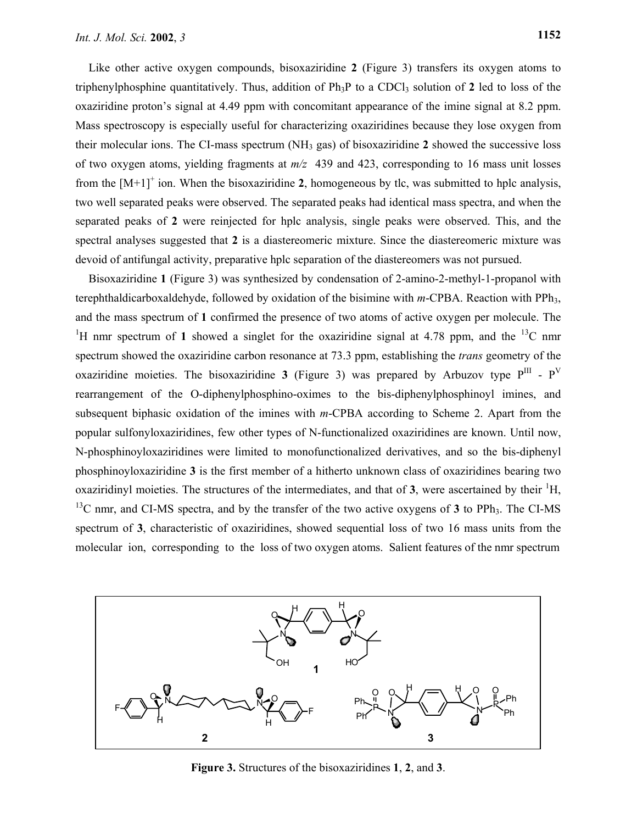Mass spectroscopy is especially useful for characterizing oxaziridines because they lose oxygen from their molecular ions. The CI-mass spectrum (NH3 gas) of bisoxaziridine **2** showed the successive loss of two oxygen atoms, yielding fragments at *m/z* 439 and 423, corresponding to 16 mass unit losses from the  $[M+1]^+$  ion. When the bisoxaziridine 2, homogeneous by tlc, was submitted to hplc analysis, two well separated peaks were observed. The separated peaks had identical mass spectra, and when the separated peaks of **2** were reinjected for hplc analysis, single peaks were observed. This, and the spectral analyses suggested that **2** is a diastereomeric mixture. Since the diastereomeric mixture was devoid of antifungal activity, preparative hplc separation of the diastereomers was not pursued.

Bisoxaziridine **1** (Figure 3) was synthesized by condensation of 2-amino-2-methyl-1-propanol with terephthaldicarboxaldehyde, followed by oxidation of the bisimine with *m*-CPBA. Reaction with PPh3, and the mass spectrum of **1** confirmed the presence of two atoms of active oxygen per molecule. The <sup>1</sup>H nmr spectrum of 1 showed a singlet for the oxaziridine signal at 4.78 ppm, and the <sup>13</sup>C nmr spectrum showed the oxaziridine carbon resonance at 73.3 ppm, establishing the *trans* geometry of the oxaziridine moieties. The bisoxaziridine **3** (Figure 3) was prepared by Arbuzov type  $P^{III}$  -  $P^{V}$ rearrangement of the O-diphenylphosphino-oximes to the bis-diphenylphosphinoyl imines, and subsequent biphasic oxidation of the imines with *m*-CPBA according to Scheme 2. Apart from the popular sulfonyloxaziridines, few other types of N-functionalized oxaziridines are known. Until now, N-phosphinoyloxaziridines were limited to monofunctionalized derivatives, and so the bis-diphenyl phosphinoyloxaziridine **3** is the first member of a hitherto unknown class of oxaziridines bearing two oxaziridinyl moieties. The structures of the intermediates, and that of  $3$ , were ascertained by their  ${}^{1}H$ ,  $13^{\circ}$ C nmr, and CI-MS spectra, and by the transfer of the two active oxygens of **3** to PPh<sub>3</sub>. The CI-MS spectrum of **3**, characteristic of oxaziridines, showed sequential loss of two 16 mass units from the molecular ion, corresponding to the loss of two oxygen atoms. Salient features of the nmr spectrum



**Figure 3.** Structures of the bisoxaziridines **1**, **2**, and **3**.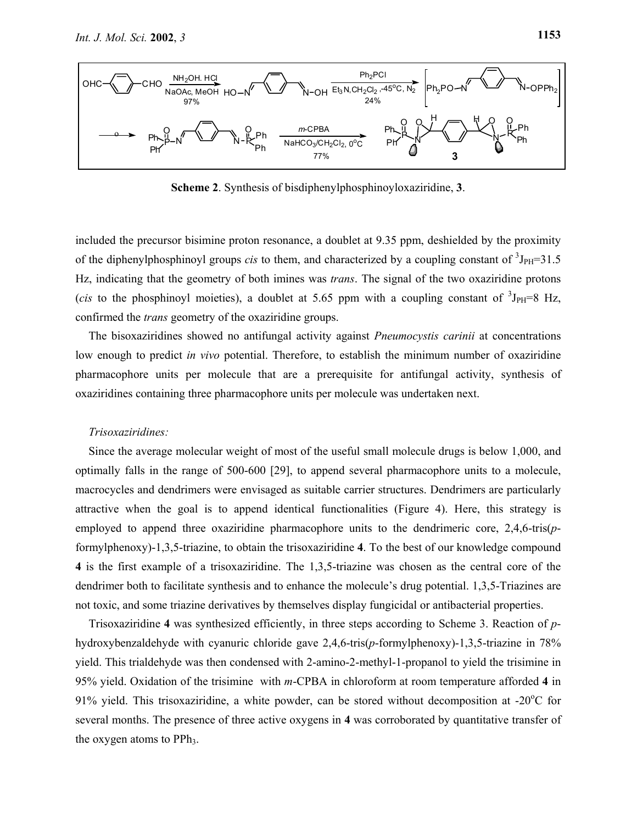

**Scheme 2**. Synthesis of bisdiphenylphosphinoyloxaziridine, **3**.

included the precursor bisimine proton resonance, a doublet at 9.35 ppm, deshielded by the proximity of the diphenylphosphinoyl groups *cis* to them, and characterized by a coupling constant of  ${}^{3}J_{PH}=31.5$ Hz, indicating that the geometry of both imines was *trans*. The signal of the two oxaziridine protons (*cis* to the phosphinoyl moieties), a doublet at 5.65 ppm with a coupling constant of  ${}^{3}J_{PH}=8$  Hz, confirmed the *trans* geometry of the oxaziridine groups.

The bisoxaziridines showed no antifungal activity against *Pneumocystis carinii* at concentrations low enough to predict *in vivo* potential. Therefore, to establish the minimum number of oxaziridine pharmacophore units per molecule that are a prerequisite for antifungal activity, synthesis of oxaziridines containing three pharmacophore units per molecule was undertaken next.

#### *Trisoxaziridines:*

Since the average molecular weight of most of the useful small molecule drugs is below 1,000, and optimally falls in the range of 500-600 [29], to append several pharmacophore units to a molecule, macrocycles and dendrimers were envisaged as suitable carrier structures. Dendrimers are particularly attractive when the goal is to append identical functionalities (Figure 4). Here, this strategy is employed to append three oxaziridine pharmacophore units to the dendrimeric core, 2,4,6-tris(*p*formylphenoxy)-1,3,5-triazine, to obtain the trisoxaziridine **4**. To the best of our knowledge compound **4** is the first example of a trisoxaziridine. The 1,3,5-triazine was chosen as the central core of the dendrimer both to facilitate synthesis and to enhance the molecule's drug potential. 1,3,5-Triazines are not toxic, and some triazine derivatives by themselves display fungicidal or antibacterial properties.

Trisoxaziridine **4** was synthesized efficiently, in three steps according to Scheme 3. Reaction of *p*hydroxybenzaldehyde with cyanuric chloride gave 2,4,6-tris(*p*-formylphenoxy)-1,3,5-triazine in 78% yield. This trialdehyde was then condensed with 2-amino-2-methyl-1-propanol to yield the trisimine in 95% yield. Oxidation of the trisimine with *m*-CPBA in chloroform at room temperature afforded **4** in 91% yield. This trisoxaziridine, a white powder, can be stored without decomposition at -20 $^{\circ}$ C for several months. The presence of three active oxygens in **4** was corroborated by quantitative transfer of the oxygen atoms to  $PPh_3$ .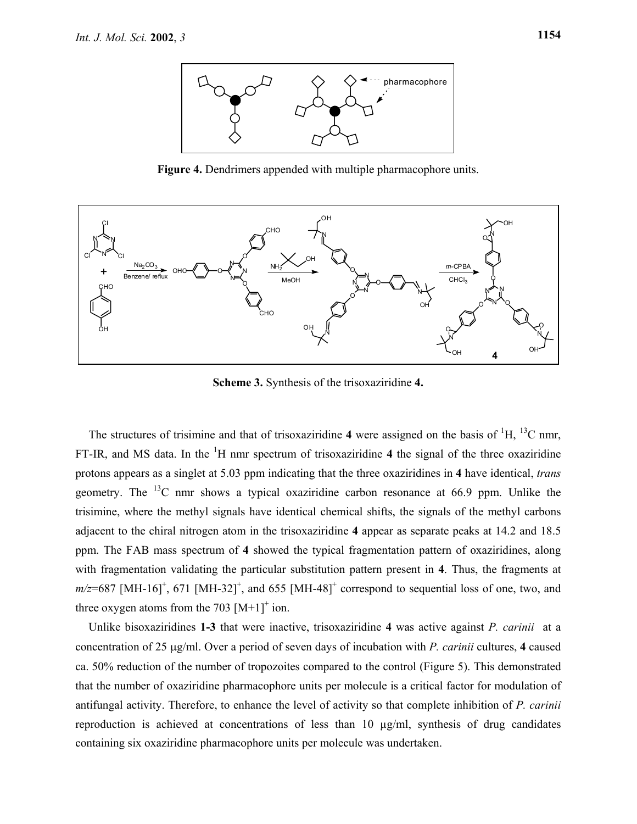

**Figure 4.** Dendrimers appended with multiple pharmacophore units.



**Scheme 3.** Synthesis of the trisoxaziridine **4.** 

The structures of trisimine and that of trisoxaziridine  $4$  were assigned on the basis of  $\mathrm{^{1}H}$ ,  $\mathrm{^{13}C}$  nmr, FT-IR, and MS data. In the  ${}^{1}H$  nmr spectrum of trisoxaziridine 4 the signal of the three oxaziridine protons appears as a singlet at 5.03 ppm indicating that the three oxaziridines in **4** have identical, *trans* geometry. The  $^{13}$ C nmr shows a typical oxaziridine carbon resonance at 66.9 ppm. Unlike the trisimine, where the methyl signals have identical chemical shifts, the signals of the methyl carbons adjacent to the chiral nitrogen atom in the trisoxaziridine **4** appear as separate peaks at 14.2 and 18.5 ppm. The FAB mass spectrum of **4** showed the typical fragmentation pattern of oxaziridines, along with fragmentation validating the particular substitution pattern present in **4**. Thus, the fragments at  $m/z=687$  [MH-16]<sup>+</sup>, 671 [MH-32]<sup>+</sup>, and 655 [MH-48]<sup>+</sup> correspond to sequential loss of one, two, and three oxygen atoms from the 703  $[M+1]^+$  ion.

Unlike bisoxaziridines **1-3** that were inactive, trisoxaziridine **4** was active against *P. carinii* at a concentration of 25 µg/ml. Over a period of seven days of incubation with *P. carinii* cultures, **4** caused ca. 50% reduction of the number of tropozoites compared to the control (Figure 5). This demonstrated that the number of oxaziridine pharmacophore units per molecule is a critical factor for modulation of antifungal activity. Therefore, to enhance the level of activity so that complete inhibition of *P. carinii* reproduction is achieved at concentrations of less than 10  $\mu$ g/ml, synthesis of drug candidates containing six oxaziridine pharmacophore units per molecule was undertaken.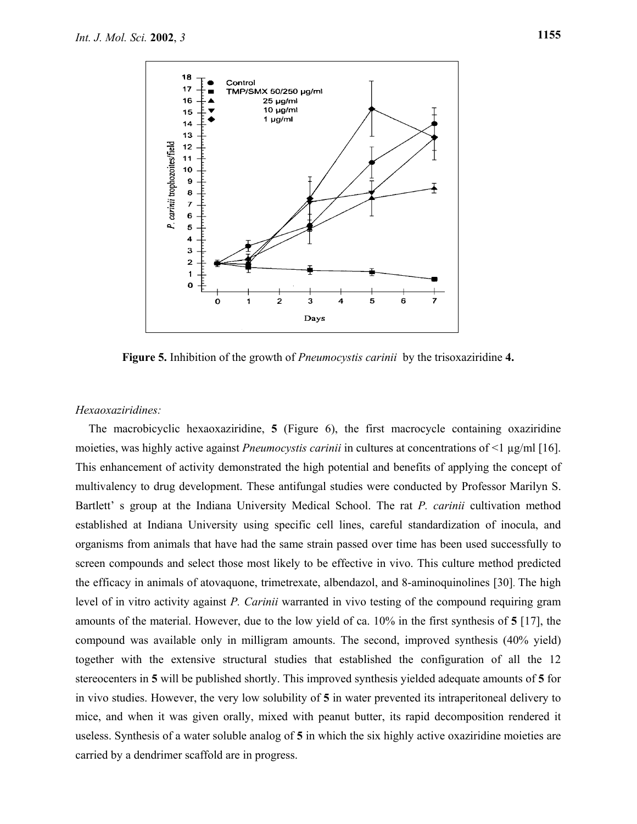

**Figure 5.** Inhibition of the growth of *Pneumocystis carinii* by the trisoxaziridine **4.**

#### *Hexaoxaziridines:*

The macrobicyclic hexaoxaziridine, **5** (Figure 6), the first macrocycle containing oxaziridine moieties, was highly active against *Pneumocystis carinii* in cultures at concentrations of <1  $\mu$ g/ml [16]. This enhancement of activity demonstrated the high potential and benefits of applying the concept of multivalency to drug development. These antifungal studies were conducted by Professor Marilyn S. Bartlett' s group at the Indiana University Medical School. The rat *P. carinii* cultivation method established at Indiana University using specific cell lines, careful standardization of inocula, and organisms from animals that have had the same strain passed over time has been used successfully to screen compounds and select those most likely to be effective in vivo. This culture method predicted the efficacy in animals of atovaquone, trimetrexate, albendazol, and 8-aminoquinolines [30]. The high level of in vitro activity against *P. Carinii* warranted in vivo testing of the compound requiring gram amounts of the material. However, due to the low yield of ca. 10% in the first synthesis of **5** [17], the compound was available only in milligram amounts. The second, improved synthesis (40% yield) together with the extensive structural studies that established the configuration of all the 12 stereocenters in **5** will be published shortly. This improved synthesis yielded adequate amounts of **5** for in vivo studies. However, the very low solubility of **5** in water prevented its intraperitoneal delivery to mice, and when it was given orally, mixed with peanut butter, its rapid decomposition rendered it useless. Synthesis of a water soluble analog of **5** in which the six highly active oxaziridine moieties are carried by a dendrimer scaffold are in progress.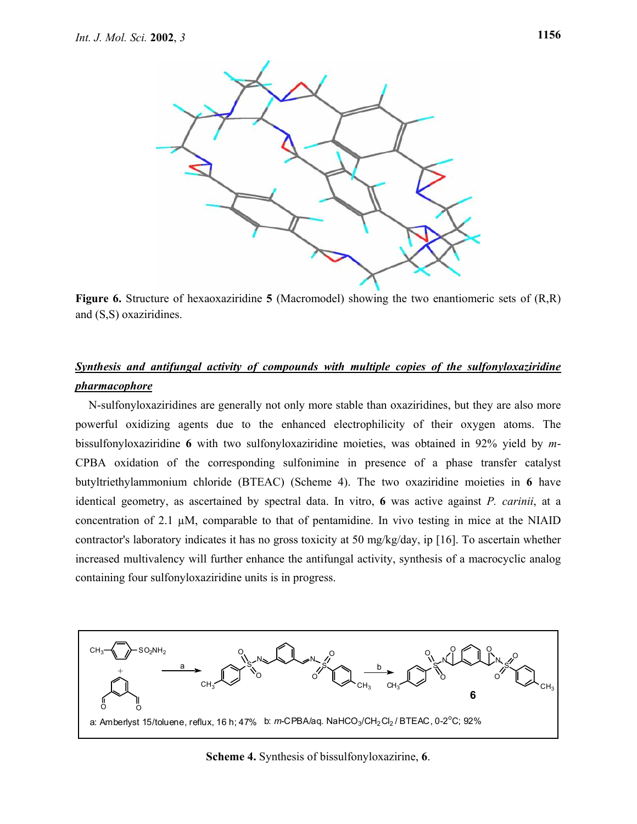

**Figure 6.** Structure of hexaoxaziridine **5** (Macromodel) showing the two enantiomeric sets of (R,R) and (S,S) oxaziridines.

## *Synthesis and antifungal activity of compounds with multiple copies of the sulfonyloxaziridine pharmacophore*

N-sulfonyloxaziridines are generally not only more stable than oxaziridines, but they are also more powerful oxidizing agents due to the enhanced electrophilicity of their oxygen atoms. The bissulfonyloxaziridine **6** with two sulfonyloxaziridine moieties, was obtained in 92% yield by *m*-CPBA oxidation of the corresponding sulfonimine in presence of a phase transfer catalyst butyltriethylammonium chloride (BTEAC) (Scheme 4). The two oxaziridine moieties in **6** have identical geometry, as ascertained by spectral data. In vitro, **6** was active against *P. carinii*, at a concentration of 2.1 µM, comparable to that of pentamidine. In vivo testing in mice at the NIAID contractor's laboratory indicates it has no gross toxicity at 50 mg/kg/day, ip [16]. To ascertain whether increased multivalency will further enhance the antifungal activity, synthesis of a macrocyclic analog containing four sulfonyloxaziridine units is in progress.



**Scheme 4.** Synthesis of bissulfonyloxazirine, **6**.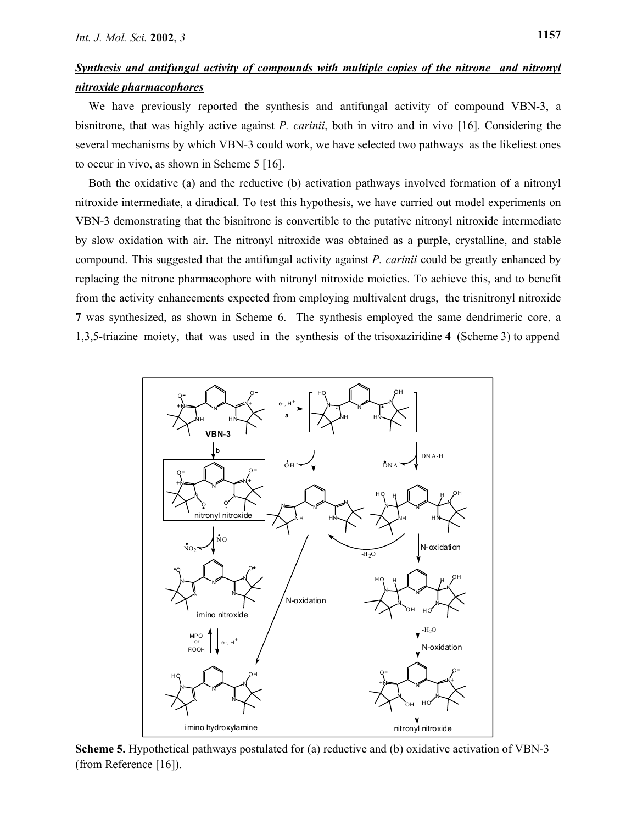## *Synthesis and antifungal activity of compounds with multiple copies of the nitrone and nitronyl nitroxide pharmacophores*

We have previously reported the synthesis and antifungal activity of compound VBN-3, a bisnitrone, that was highly active against *P. carinii*, both in vitro and in vivo [16]. Considering the several mechanisms by which VBN-3 could work, we have selected two pathways as the likeliest ones to occur in vivo, as shown in Scheme 5 [16].

Both the oxidative (a) and the reductive (b) activation pathways involved formation of a nitronyl nitroxide intermediate, a diradical. To test this hypothesis, we have carried out model experiments on VBN-3 demonstrating that the bisnitrone is convertible to the putative nitronyl nitroxide intermediate by slow oxidation with air. The nitronyl nitroxide was obtained as a purple, crystalline, and stable compound. This suggested that the antifungal activity against *P. carinii* could be greatly enhanced by replacing the nitrone pharmacophore with nitronyl nitroxide moieties. To achieve this, and to benefit from the activity enhancements expected from employing multivalent drugs, the trisnitronyl nitroxide **7** was synthesized, as shown in Scheme 6. The synthesis employed the same dendrimeric core, a 1,3,5-triazine moiety, that was used in the synthesis of the trisoxaziridine **4** (Scheme 3) to append



**Scheme 5.** Hypothetical pathways postulated for (a) reductive and (b) oxidative activation of VBN-3 (from Reference [16]).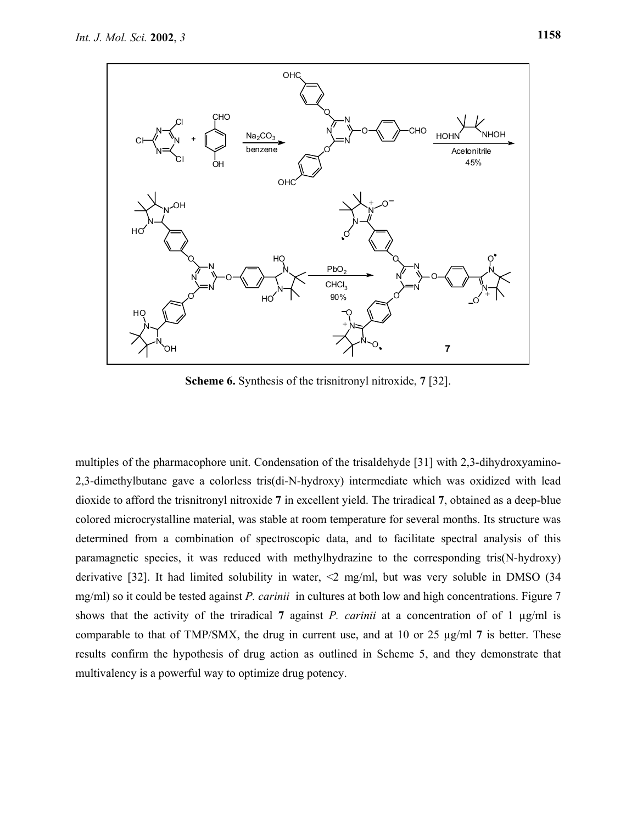

**Scheme 6.** Synthesis of the trisnitronyl nitroxide, **7** [32].

multiples of the pharmacophore unit. Condensation of the trisaldehyde [31] with 2,3-dihydroxyamino-2,3-dimethylbutane gave a colorless tris(di-N-hydroxy) intermediate which was oxidized with lead dioxide to afford the trisnitronyl nitroxide **7** in excellent yield. The triradical **7**, obtained as a deep-blue colored microcrystalline material, was stable at room temperature for several months. Its structure was determined from a combination of spectroscopic data, and to facilitate spectral analysis of this paramagnetic species, it was reduced with methylhydrazine to the corresponding tris(N-hydroxy) derivative [32]. It had limited solubility in water, <2 mg/ml, but was very soluble in DMSO (34 mg/ml) so it could be tested against *P. carinii* in cultures at both low and high concentrations. Figure 7 shows that the activity of the triradical **7** against *P. carinii* at a concentration of of 1 µg/ml is comparable to that of TMP/SMX, the drug in current use, and at 10 or 25 µg/ml **7** is better. These results confirm the hypothesis of drug action as outlined in Scheme 5, and they demonstrate that multivalency is a powerful way to optimize drug potency.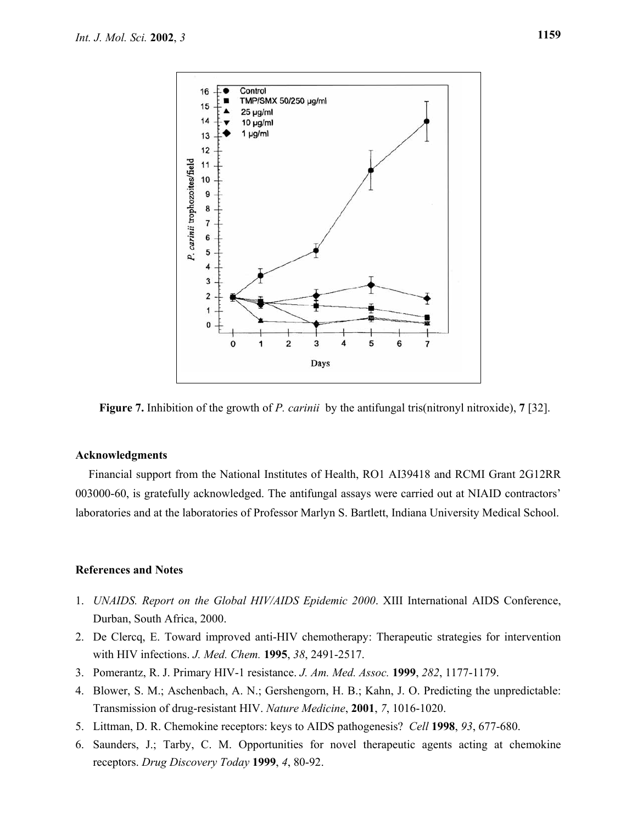

**Figure 7.** Inhibition of the growth of *P. carinii* by the antifungal tris(nitronyl nitroxide), **7** [32].

#### **Acknowledgments**

Financial support from the National Institutes of Health, RO1 AI39418 and RCMI Grant 2G12RR 003000-60, is gratefully acknowledged. The antifungal assays were carried out at NIAID contractors' laboratories and at the laboratories of Professor Marlyn S. Bartlett, Indiana University Medical School.

#### **References and Notes**

- 1. *UNAIDS. Report on the Global HIV/AIDS Epidemic 2000*. XIII International AIDS Conference, Durban, South Africa, 2000.
- 2. De Clercq, E. Toward improved anti-HIV chemotherapy: Therapeutic strategies for intervention with HIV infections. *J. Med. Chem.* **1995**, *38*, 2491-2517.
- 3. Pomerantz, R. J. Primary HIV-1 resistance. *J. Am. Med. Assoc.* **1999**, *282*, 1177-1179.
- 4. Blower, S. M.; Aschenbach, A. N.; Gershengorn, H. B.; Kahn, J. O. Predicting the unpredictable: Transmission of drug-resistant HIV. *Nature Medicine*, **2001**, *7*, 1016-1020.
- 5. Littman, D. R. Chemokine receptors: keys to AIDS pathogenesis? *Cell* **1998**, *93*, 677-680.
- 6. Saunders, J.; Tarby, C. M. Opportunities for novel therapeutic agents acting at chemokine receptors. *Drug Discovery Today* **1999**, *4*, 80-92.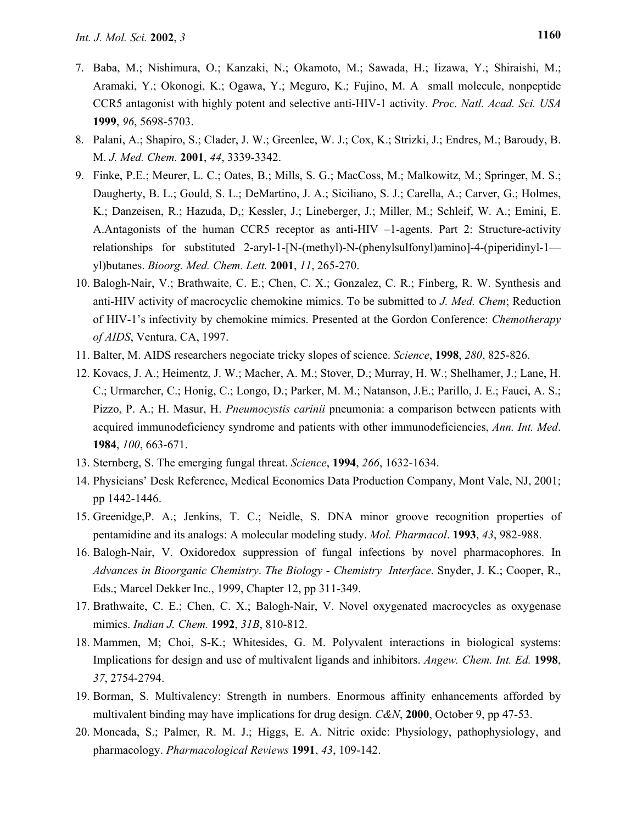- 7. Baba, M.; Nishimura, O.; Kanzaki, N.; Okamoto, M.; Sawada, H.; Iizawa, Y.; Shiraishi, M.; Aramaki, Y.; Okonogi, K.; Ogawa, Y.; Meguro, K.; Fujino, M. A small molecule, nonpeptide CCR5 antagonist with highly potent and selective anti-HIV-1 activity. *Proc. Natl. Acad. Sci. USA*  **1999**, *96*, 5698-5703.
- 8. Palani, A.; Shapiro, S.; Clader, J. W.; Greenlee, W. J.; Cox, K.; Strizki, J.; Endres, M.; Baroudy, B. M. *J. Med. Chem.* **2001**, *44*, 3339-3342.
- 9. Finke, P.E.; Meurer, L. C.; Oates, B.; Mills, S. G.; MacCoss, M.; Malkowitz, M.; Springer, M. S.; Daugherty, B. L.; Gould, S. L.; DeMartino, J. A.; Siciliano, S. J.; Carella, A.; Carver, G.; Holmes, K.; Danzeisen, R.; Hazuda, D,; Kessler, J.; Lineberger, J.; Miller, M.; Schleif, W. A.; Emini, E. A.Antagonists of the human CCR5 receptor as anti-HIV –1-agents. Part 2: Structure-activity relationships for substituted 2-aryl-1-[N-(methyl)-N-(phenylsulfonyl)amino]-4-(piperidinyl-1 yl)butanes. *Bioorg. Med. Chem. Lett.* **2001**, *11*, 265-270.
- 10. Balogh-Nair, V.; Brathwaite, C. E.; Chen, C. X.; Gonzalez, C. R.; Finberg, R. W. Synthesis and anti-HIV activity of macrocyclic chemokine mimics. To be submitted to *J. Med. Chem*; Reduction of HIV-1's infectivity by chemokine mimics. Presented at the Gordon Conference: *Chemotherapy of AIDS*, Ventura, CA, 1997.
- 11. Balter, M. AIDS researchers negociate tricky slopes of science. *Science*, **1998**, *280*, 825-826.
- 12. Kovacs, J. A.; Heimentz, J. W.; Macher, A. M.; Stover, D.; Murray, H. W.; Shelhamer, J.; Lane, H. C.; Urmarcher, C.; Honig, C.; Longo, D.; Parker, M. M.; Natanson, J.E.; Parillo, J. E.; Fauci, A. S.; Pizzo, P. A.; H. Masur, H. *Pneumocystis carinii* pneumonia: a comparison between patients with acquired immunodeficiency syndrome and patients with other immunodeficiencies, *Ann. Int. Med*. **1984**, *100*, 663-671.
- 13. Sternberg, S. The emerging fungal threat. *Science*, **1994**, *266*, 1632-1634.
- 14. Physicians' Desk Reference, Medical Economics Data Production Company, Mont Vale, NJ, 2001; pp 1442-1446.
- 15. Greenidge,P. A.; Jenkins, T. C.; Neidle, S. DNA minor groove recognition properties of pentamidine and its analogs: A molecular modeling study. *Mol. Pharmacol*. **1993**, *43*, 982-988.
- 16. Balogh-Nair, V. Oxidoredox suppression of fungal infections by novel pharmacophores. In *Advances in Bioorganic Chemistry*. *The Biology - Chemistry Interface*. Snyder, J. K.; Cooper, R., Eds.; Marcel Dekker Inc., 1999, Chapter 12, pp 311-349.
- 17. Brathwaite, C. E.; Chen, C. X.; Balogh-Nair, V. Novel oxygenated macrocycles as oxygenase mimics. *Indian J. Chem.* **1992**, *31B*, 810-812.
- 18. Mammen, M; Choi, S-K.; Whitesides, G. M. Polyvalent interactions in biological systems: Implications for design and use of multivalent ligands and inhibitors. *Angew. Chem. Int. Ed.* **1998**, *37*, 2754-2794.
- 19. Borman, S. Multivalency: Strength in numbers. Enormous affinity enhancements afforded by multivalent binding may have implications for drug design. *C&N*, **2000**, October 9, pp 47-53.
- 20. Moncada, S.; Palmer, R. M. J.; Higgs, E. A. Nitric oxide: Physiology, pathophysiology, and pharmacology. *Pharmacological Reviews* **1991**, *43*, 109-142.